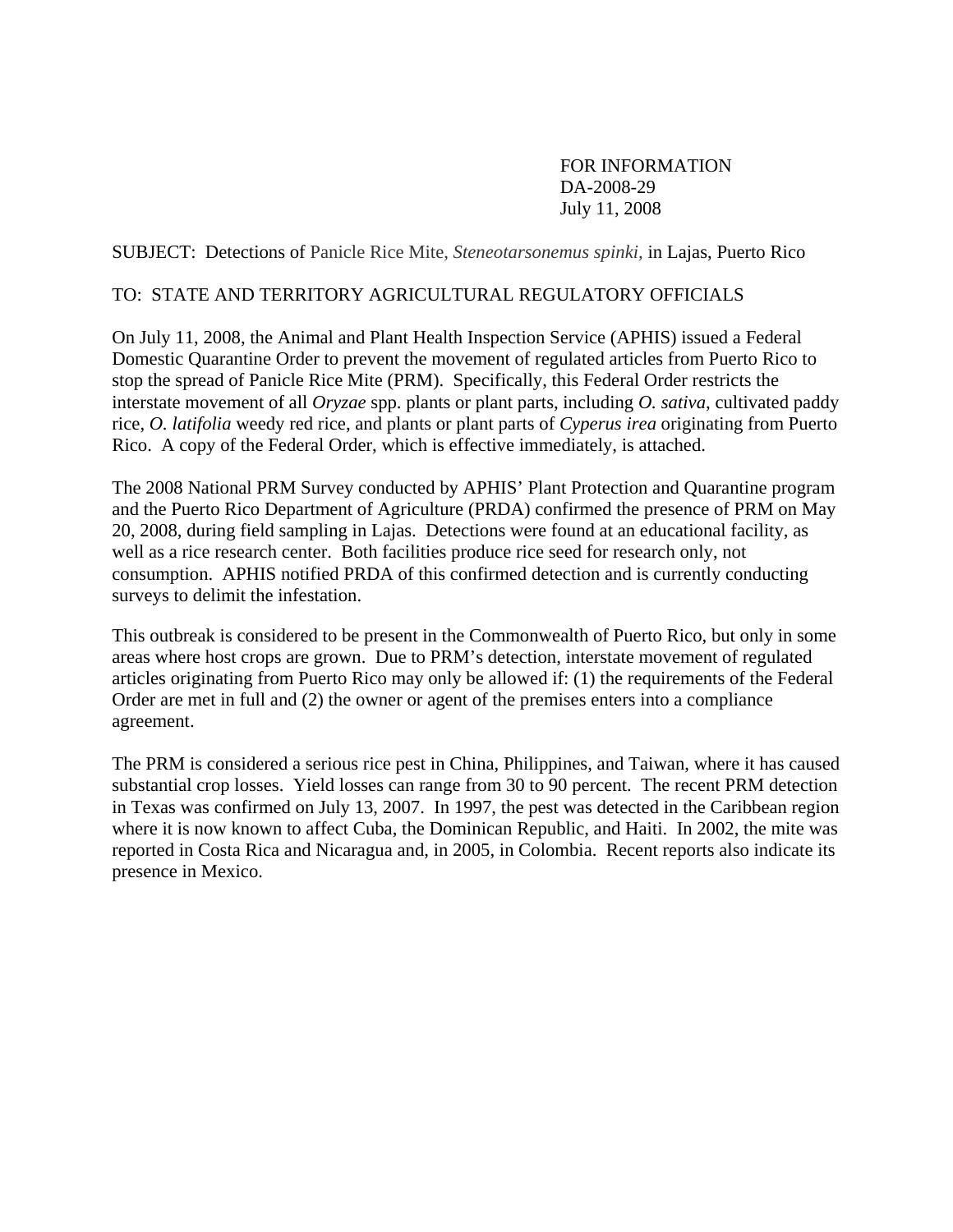## FOR INFORMATION DA-2008-29 July 11, 2008

SUBJECT: Detections of Panicle Rice Mite, *Steneotarsonemus spinki,* in Lajas, Puerto Rico

### TO: STATE AND TERRITORY AGRICULTURAL REGULATORY OFFICIALS

On July 11, 2008, the Animal and Plant Health Inspection Service (APHIS) issued a Federal Domestic Quarantine Order to prevent the movement of regulated articles from Puerto Rico to stop the spread of Panicle Rice Mite (PRM). Specifically, this Federal Order restricts the interstate movement of all *Oryzae* spp. plants or plant parts, including *O. sativa*, cultivated paddy rice, *O. latifolia* weedy red rice, and plants or plant parts of *Cyperus irea* originating from Puerto Rico. A copy of the Federal Order, which is effective immediately, is attached.

The 2008 National PRM Survey conducted by APHIS' Plant Protection and Quarantine program and the Puerto Rico Department of Agriculture (PRDA) confirmed the presence of PRM on May 20, 2008, during field sampling in Lajas. Detections were found at an educational facility, as well as a rice research center. Both facilities produce rice seed for research only, not consumption. APHIS notified PRDA of this confirmed detection and is currently conducting surveys to delimit the infestation.

This outbreak is considered to be present in the Commonwealth of Puerto Rico, but only in some areas where host crops are grown. Due to PRM's detection, interstate movement of regulated articles originating from Puerto Rico may only be allowed if: (1) the requirements of the Federal Order are met in full and (2) the owner or agent of the premises enters into a compliance agreement.

The PRM is considered a serious rice pest in China, Philippines, and Taiwan, where it has caused substantial crop losses. Yield losses can range from 30 to 90 percent. The recent PRM detection in Texas was confirmed on July 13, 2007. In 1997, the pest was detected in the Caribbean region where it is now known to affect Cuba, the Dominican Republic, and Haiti. In 2002, the mite was reported in Costa Rica and Nicaragua and, in 2005, in Colombia. Recent reports also indicate its presence in Mexico.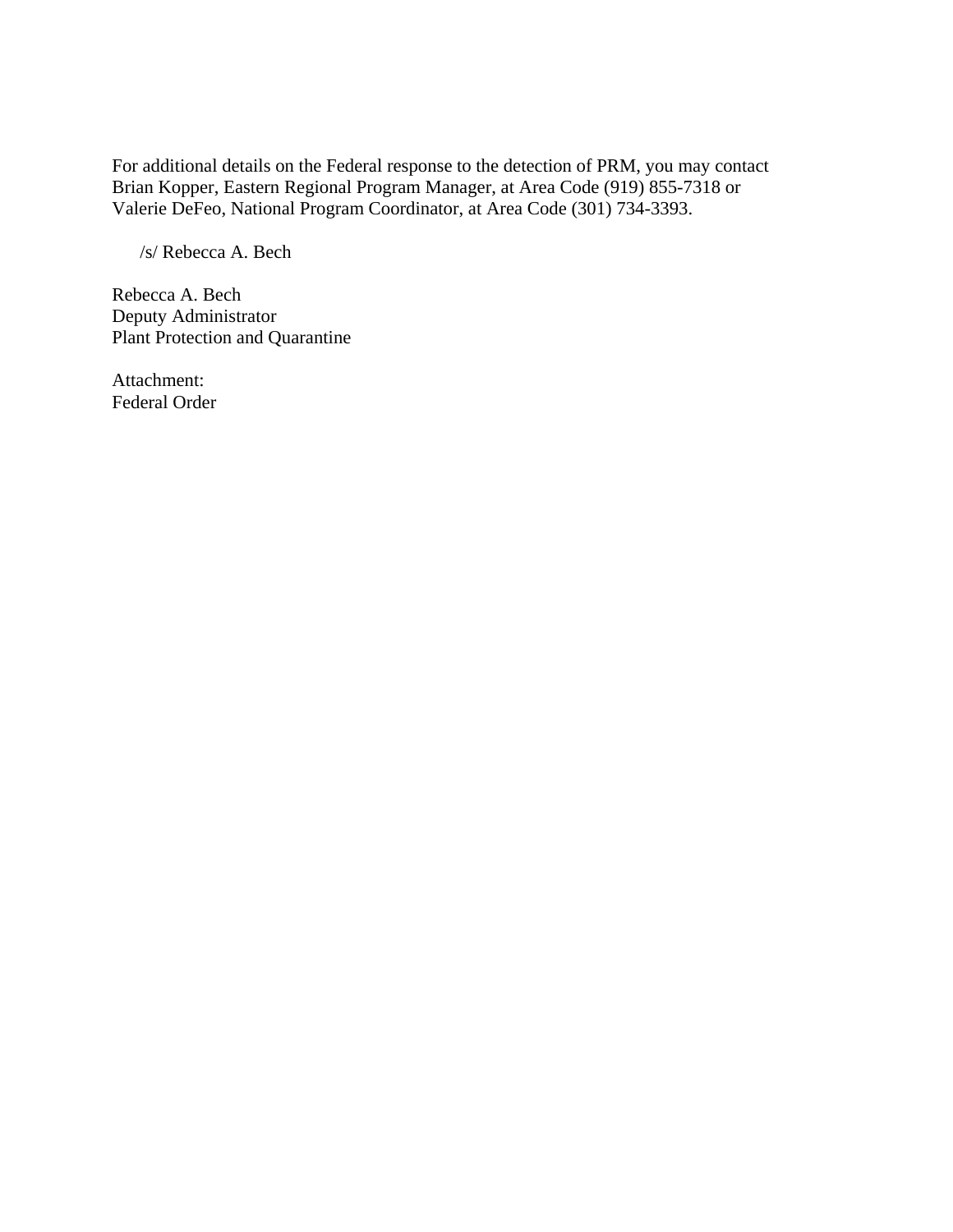For additional details on the Federal response to the detection of PRM, you may contact Brian Kopper, Eastern Regional Program Manager, at Area Code (919) 855-7318 or Valerie DeFeo, National Program Coordinator, at Area Code (301) 734-3393.

/s/ Rebecca A. Bech

Rebecca A. Bech Deputy Administrator Plant Protection and Quarantine

Attachment: Federal Order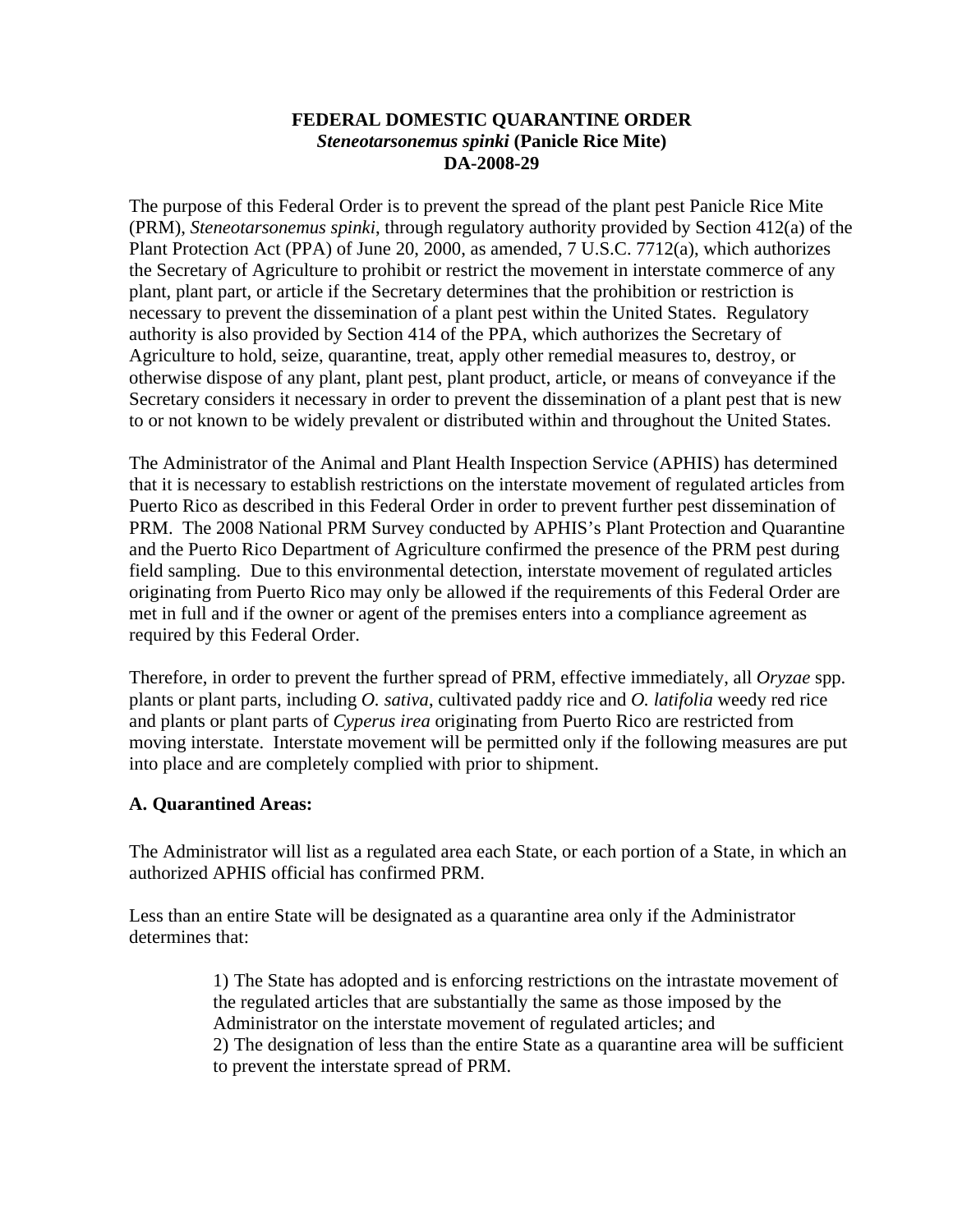### **FEDERAL DOMESTIC QUARANTINE ORDER**  *Steneotarsonemus spinki* **(Panicle Rice Mite) DA-2008-29**

The purpose of this Federal Order is to prevent the spread of the plant pest Panicle Rice Mite (PRM), *Steneotarsonemus spinki*, through regulatory authority provided by Section 412(a) of the Plant Protection Act (PPA) of June 20, 2000, as amended, 7 U.S.C. 7712(a), which authorizes the Secretary of Agriculture to prohibit or restrict the movement in interstate commerce of any plant, plant part, or article if the Secretary determines that the prohibition or restriction is necessary to prevent the dissemination of a plant pest within the United States. Regulatory authority is also provided by Section 414 of the PPA, which authorizes the Secretary of Agriculture to hold, seize, quarantine, treat, apply other remedial measures to, destroy, or otherwise dispose of any plant, plant pest, plant product, article, or means of conveyance if the Secretary considers it necessary in order to prevent the dissemination of a plant pest that is new to or not known to be widely prevalent or distributed within and throughout the United States.

The Administrator of the Animal and Plant Health Inspection Service (APHIS) has determined that it is necessary to establish restrictions on the interstate movement of regulated articles from Puerto Rico as described in this Federal Order in order to prevent further pest dissemination of PRM. The 2008 National PRM Survey conducted by APHIS's Plant Protection and Quarantine and the Puerto Rico Department of Agriculture confirmed the presence of the PRM pest during field sampling. Due to this environmental detection, interstate movement of regulated articles originating from Puerto Rico may only be allowed if the requirements of this Federal Order are met in full and if the owner or agent of the premises enters into a compliance agreement as required by this Federal Order.

Therefore, in order to prevent the further spread of PRM, effective immediately, all *Oryzae* spp. plants or plant parts, including *O. sativa*, cultivated paddy rice and *O. latifolia* weedy red rice and plants or plant parts of *Cyperus irea* originating from Puerto Rico are restricted from moving interstate. Interstate movement will be permitted only if the following measures are put into place and are completely complied with prior to shipment.

## **A. Quarantined Areas:**

The Administrator will list as a regulated area each State, or each portion of a State, in which an authorized APHIS official has confirmed PRM.

Less than an entire State will be designated as a quarantine area only if the Administrator determines that:

> 1) The State has adopted and is enforcing restrictions on the intrastate movement of the regulated articles that are substantially the same as those imposed by the Administrator on the interstate movement of regulated articles; and 2) The designation of less than the entire State as a quarantine area will be sufficient to prevent the interstate spread of PRM.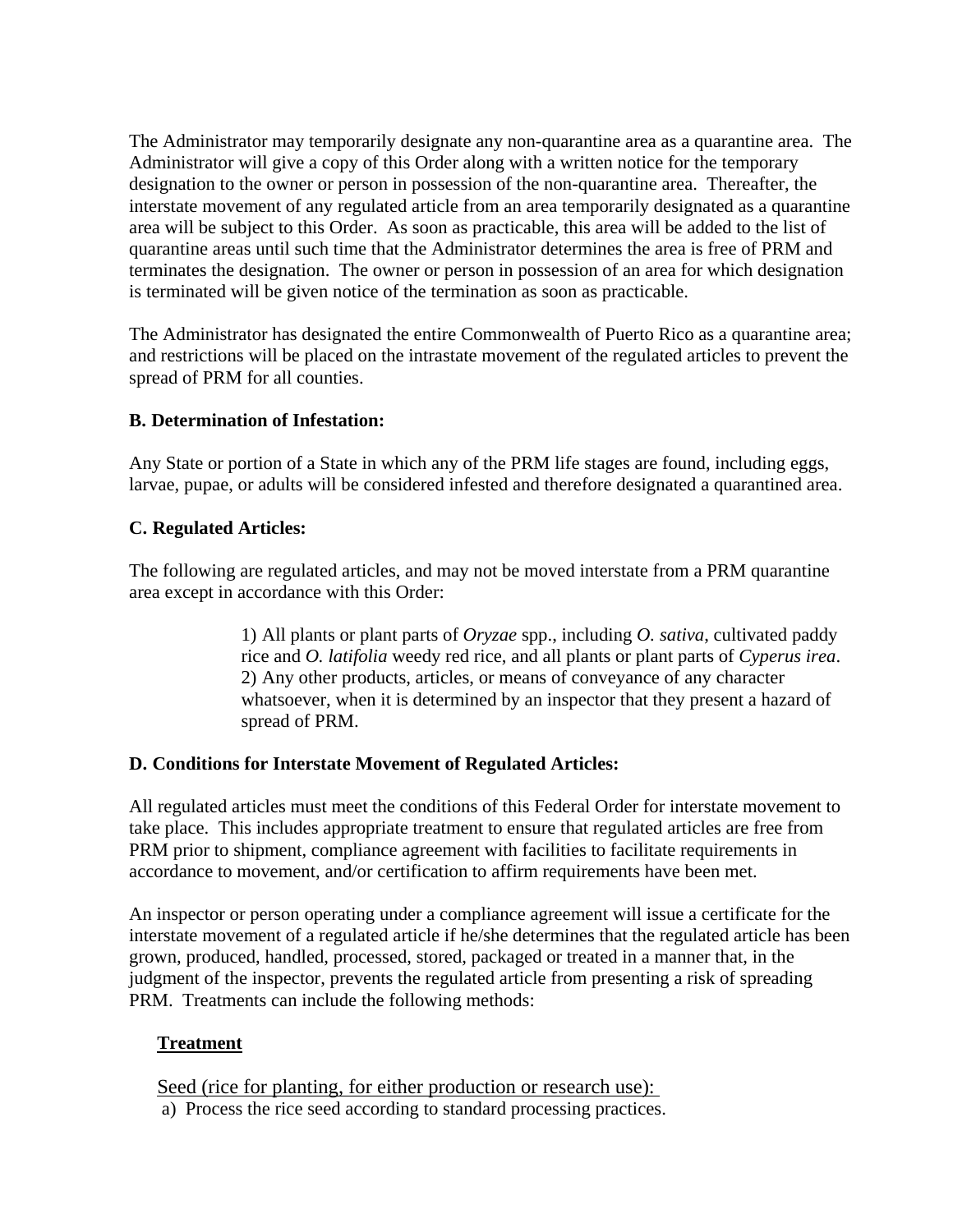The Administrator may temporarily designate any non-quarantine area as a quarantine area. The Administrator will give a copy of this Order along with a written notice for the temporary designation to the owner or person in possession of the non-quarantine area. Thereafter, the interstate movement of any regulated article from an area temporarily designated as a quarantine area will be subject to this Order. As soon as practicable, this area will be added to the list of quarantine areas until such time that the Administrator determines the area is free of PRM and terminates the designation. The owner or person in possession of an area for which designation is terminated will be given notice of the termination as soon as practicable.

The Administrator has designated the entire Commonwealth of Puerto Rico as a quarantine area; and restrictions will be placed on the intrastate movement of the regulated articles to prevent the spread of PRM for all counties.

## **B. Determination of Infestation:**

Any State or portion of a State in which any of the PRM life stages are found, including eggs, larvae, pupae, or adults will be considered infested and therefore designated a quarantined area.

## **C. Regulated Articles:**

The following are regulated articles, and may not be moved interstate from a PRM quarantine area except in accordance with this Order:

> 1) All plants or plant parts of *Oryzae* spp., including *O. sativa*, cultivated paddy rice and *O. latifolia* weedy red rice, and all plants or plant parts of *Cyperus irea*. 2) Any other products, articles, or means of conveyance of any character whatsoever, when it is determined by an inspector that they present a hazard of spread of PRM.

## **D. Conditions for Interstate Movement of Regulated Articles:**

All regulated articles must meet the conditions of this Federal Order for interstate movement to take place. This includes appropriate treatment to ensure that regulated articles are free from PRM prior to shipment, compliance agreement with facilities to facilitate requirements in accordance to movement, and/or certification to affirm requirements have been met.

An inspector or person operating under a compliance agreement will issue a certificate for the interstate movement of a regulated article if he/she determines that the regulated article has been grown, produced, handled, processed, stored, packaged or treated in a manner that, in the judgment of the inspector, prevents the regulated article from presenting a risk of spreading PRM. Treatments can include the following methods:

# **Treatment**

Seed (rice for planting, for either production or research use):

a) Process the rice seed according to standard processing practices.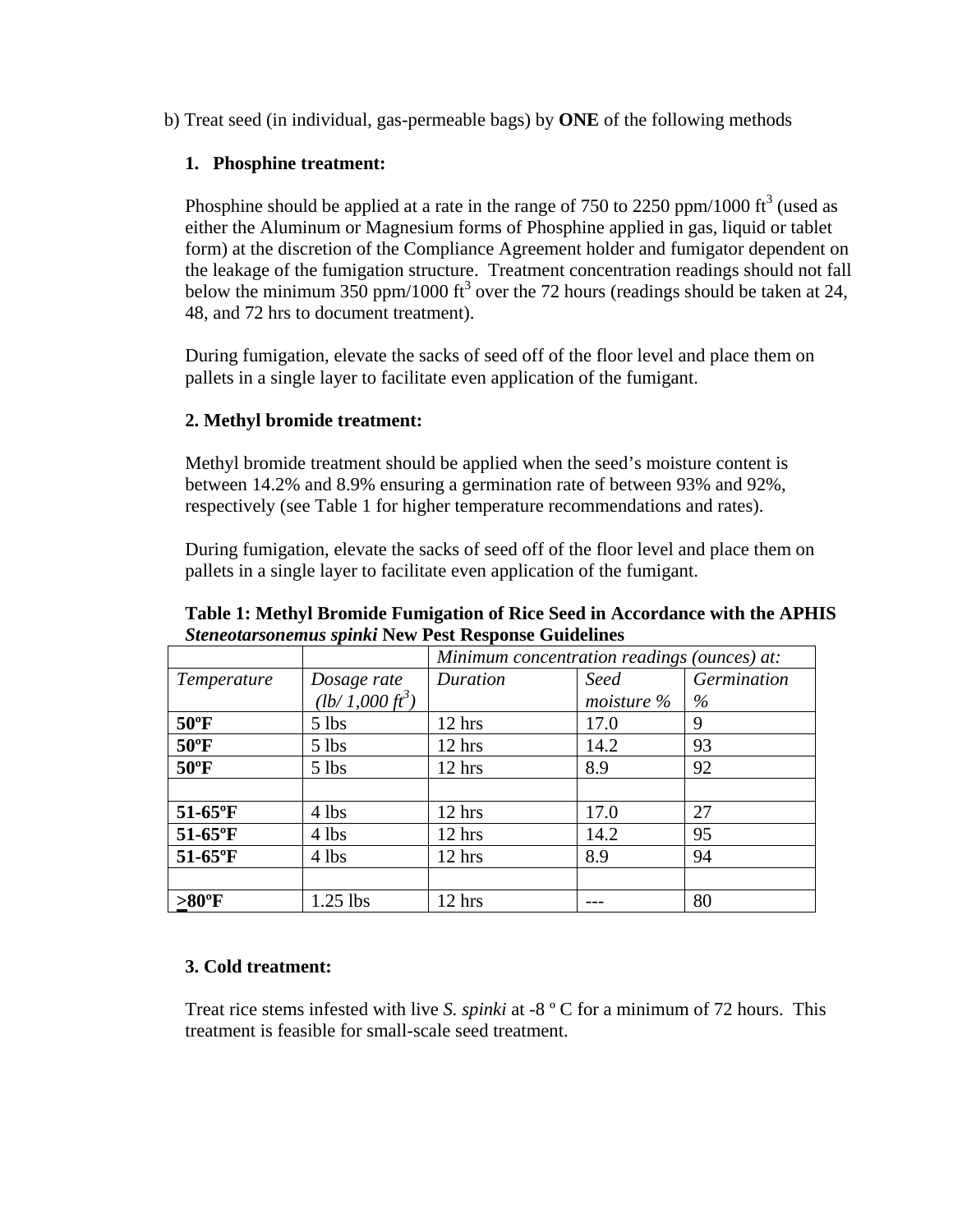b) Treat seed (in individual, gas-permeable bags) by **ONE** of the following methods

## **1. Phosphine treatment:**

Phosphine should be applied at a rate in the range of 750 to 2250 ppm/1000  $\text{ft}^3$  (used as either the Aluminum or Magnesium forms of Phosphine applied in gas, liquid or tablet form) at the discretion of the Compliance Agreement holder and fumigator dependent on the leakage of the fumigation structure. Treatment concentration readings should not fall below the minimum 350 ppm/1000 ft<sup>3</sup> over the 72 hours (readings should be taken at 24, 48, and 72 hrs to document treatment).

During fumigation, elevate the sacks of seed off of the floor level and place them on pallets in a single layer to facilitate even application of the fumigant.

# **2. Methyl bromide treatment:**

Methyl bromide treatment should be applied when the seed's moisture content is between 14.2% and 8.9% ensuring a germination rate of between 93% and 92%, respectively (see Table 1 for higher temperature recommendations and rates).

During fumigation, elevate the sacks of seed off of the floor level and place them on pallets in a single layer to facilitate even application of the fumigant.

| $\sigma$ . The set of the set of $\sigma$ is the set of $\sigma$ in $\sigma$ is the set of $\sigma$ in $\sigma$ |                                   |                                             |               |             |
|-----------------------------------------------------------------------------------------------------------------|-----------------------------------|---------------------------------------------|---------------|-------------|
|                                                                                                                 |                                   | Minimum concentration readings (ounces) at: |               |             |
| Temperature                                                                                                     | Dosage rate                       | Duration                                    | Seed          | Germination |
|                                                                                                                 | $(lb/\dot{1},000 \, \text{ft}^3)$ |                                             | moisture $\%$ | $\%$        |
| $50^{\circ}$ F                                                                                                  | $5$ lbs                           | $12$ hrs                                    | 17.0          | 9           |
| $50^{\circ}$ F                                                                                                  | $5$ lbs                           | $12$ hrs                                    | 14.2          | 93          |
| $50^{\circ}$ F                                                                                                  | $5$ lbs                           | $12$ hrs                                    | 8.9           | 92          |
|                                                                                                                 |                                   |                                             |               |             |
| $51-65$ °F                                                                                                      | $4$ lbs                           | $12$ hrs                                    | 17.0          | 27          |
| $51-65$ °F                                                                                                      | $4$ lbs                           | $12$ hrs                                    | 14.2          | 95          |
| $51-65$ °F                                                                                                      | 4 lbs                             | $12$ hrs                                    | 8.9           | 94          |
|                                                                                                                 |                                   |                                             |               |             |
| $>80^{\circ}$ F                                                                                                 | $1.25$ lbs                        | 12 hrs                                      |               | 80          |

**Table 1: Methyl Bromide Fumigation of Rice Seed in Accordance with the APHIS**  *Steneotarsonemus spinki* **New Pest Response Guidelines** 

## **3. Cold treatment:**

Treat rice stems infested with live *S. spinki* at -8 º C for a minimum of 72 hours. This treatment is feasible for small-scale seed treatment.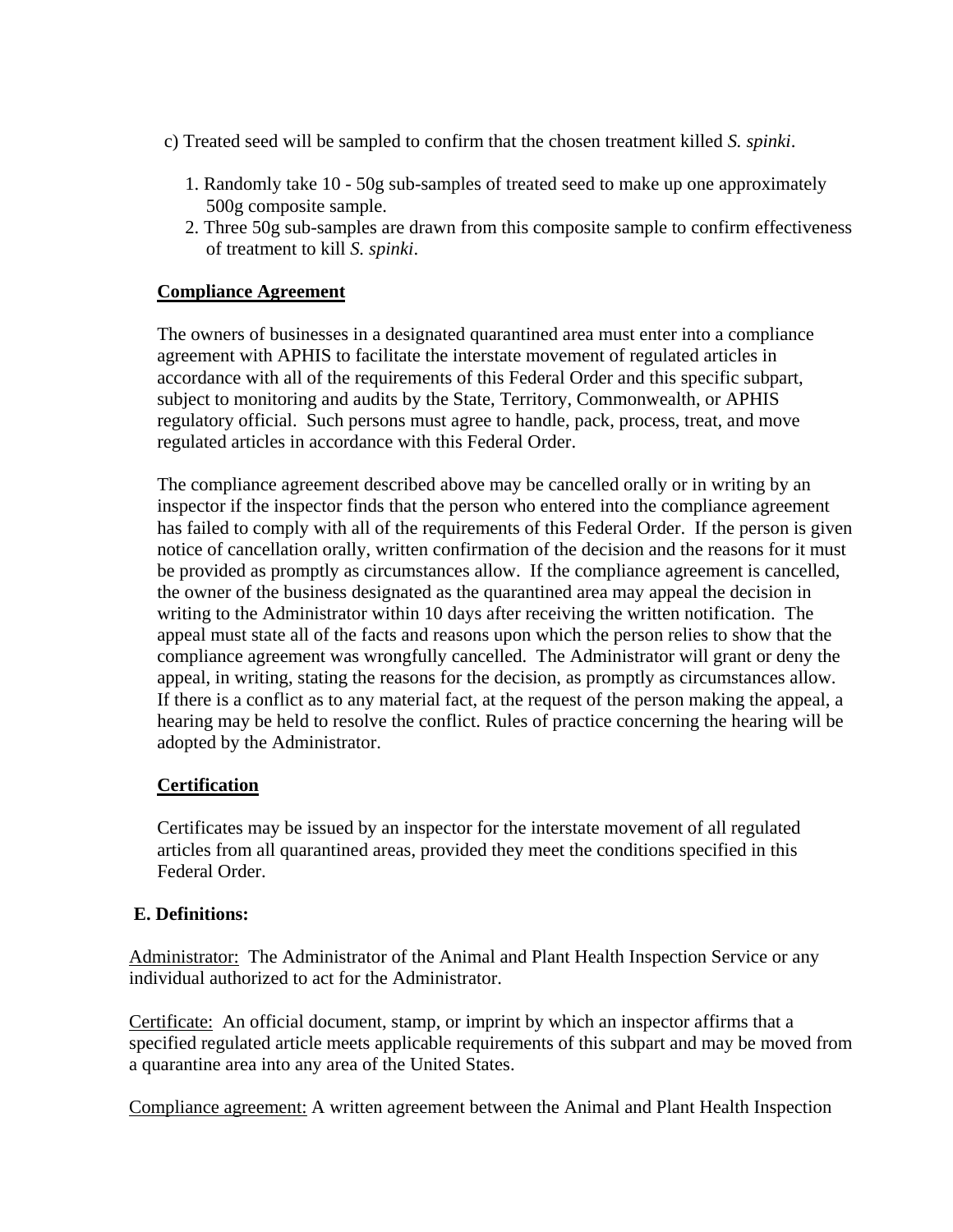- c) Treated seed will be sampled to confirm that the chosen treatment killed *S. spinki*.
	- 1. Randomly take 10 50g sub-samples of treated seed to make up one approximately 500g composite sample.
	- 2. Three 50g sub-samples are drawn from this composite sample to confirm effectiveness of treatment to kill *S. spinki*.

## **Compliance Agreement**

The owners of businesses in a designated quarantined area must enter into a compliance agreement with APHIS to facilitate the interstate movement of regulated articles in accordance with all of the requirements of this Federal Order and this specific subpart, subject to monitoring and audits by the State, Territory, Commonwealth, or APHIS regulatory official. Such persons must agree to handle, pack, process, treat, and move regulated articles in accordance with this Federal Order.

The compliance agreement described above may be cancelled orally or in writing by an inspector if the inspector finds that the person who entered into the compliance agreement has failed to comply with all of the requirements of this Federal Order. If the person is given notice of cancellation orally, written confirmation of the decision and the reasons for it must be provided as promptly as circumstances allow. If the compliance agreement is cancelled, the owner of the business designated as the quarantined area may appeal the decision in writing to the Administrator within 10 days after receiving the written notification. The appeal must state all of the facts and reasons upon which the person relies to show that the compliance agreement was wrongfully cancelled. The Administrator will grant or deny the appeal, in writing, stating the reasons for the decision, as promptly as circumstances allow. If there is a conflict as to any material fact, at the request of the person making the appeal, a hearing may be held to resolve the conflict. Rules of practice concerning the hearing will be adopted by the Administrator.

## **Certification**

Certificates may be issued by an inspector for the interstate movement of all regulated articles from all quarantined areas, provided they meet the conditions specified in this Federal Order.

### **E. Definitions:**

Administrator: The Administrator of the Animal and Plant Health Inspection Service or any individual authorized to act for the Administrator.

Certificate: An official document, stamp, or imprint by which an inspector affirms that a specified regulated article meets applicable requirements of this subpart and may be moved from a quarantine area into any area of the United States.

Compliance agreement: A written agreement between the Animal and Plant Health Inspection